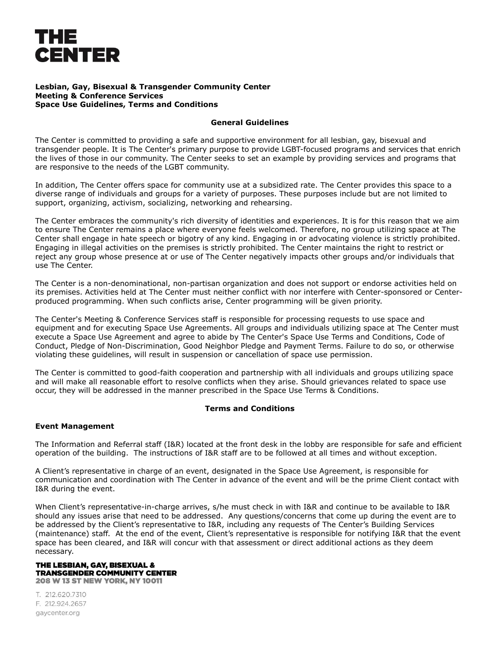# THE **CENTER**

## **Lesbian, Gay, Bisexual & Transgender Community Center Meeting & Conference Services Space Use Guidelines, Terms and Conditions**

# **General Guidelines**

The Center is committed to providing a safe and supportive environment for all lesbian, gay, bisexual and transgender people. It is The Center's primary purpose to provide LGBT-focused programs and services that enrich the lives of those in our community. The Center seeks to set an example by providing services and programs that are responsive to the needs of the LGBT community.

In addition, The Center offers space for community use at a subsidized rate. The Center provides this space to a diverse range of individuals and groups for a variety of purposes. These purposes include but are not limited to support, organizing, activism, socializing, networking and rehearsing.

The Center embraces the community's rich diversity of identities and experiences. It is for this reason that we aim to ensure The Center remains a place where everyone feels welcomed. Therefore, no group utilizing space at The Center shall engage in hate speech or bigotry of any kind. Engaging in or advocating violence is strictly prohibited. Engaging in illegal activities on the premises is strictly prohibited. The Center maintains the right to restrict or reject any group whose presence at or use of The Center negatively impacts other groups and/or individuals that use The Center.

The Center is a non-denominational, non-partisan organization and does not support or endorse activities held on its premises. Activities held at The Center must neither conflict with nor interfere with Center-sponsored or Centerproduced programming. When such conflicts arise, Center programming will be given priority.

The Center's Meeting & Conference Services staff is responsible for processing requests to use space and equipment and for executing Space Use Agreements. All groups and individuals utilizing space at The Center must execute a Space Use Agreement and agree to abide by The Center's Space Use Terms and Conditions, Code of Conduct, Pledge of Non-Discrimination, Good Neighbor Pledge and Payment Terms. Failure to do so, or otherwise violating these guidelines, will result in suspension or cancellation of space use permission.

The Center is committed to good-faith cooperation and partnership with all individuals and groups utilizing space and will make all reasonable effort to resolve conflicts when they arise. Should grievances related to space use occur, they will be addressed in the manner prescribed in the Space Use Terms & Conditions.

# **Terms and Conditions**

# **Event Management**

The Information and Referral staff (I&R) located at the front desk in the lobby are responsible for safe and efficient operation of the building. The instructions of I&R staff are to be followed at all times and without exception.

A Client's representative in charge of an event, designated in the Space Use Agreement, is responsible for communication and coordination with The Center in advance of the event and will be the prime Client contact with I&R during the event.

When Client's representative-in-charge arrives, s/he must check in with I&R and continue to be available to I&R should any issues arise that need to be addressed. Any questions/concerns that come up during the event are to be addressed by the Client's representative to I&R, including any requests of The Center's Building Services (maintenance) staff. At the end of the event, Client's representative is responsible for notifying I&R that the event space has been cleared, and I&R will concur with that assessment or direct additional actions as they deem necessary.

#### THE LESBIAN, GAY, BISEXUAL & **TRANSGENDER COMMUNITY CENTER 208 W 13 ST NEW YORK, NY 10011**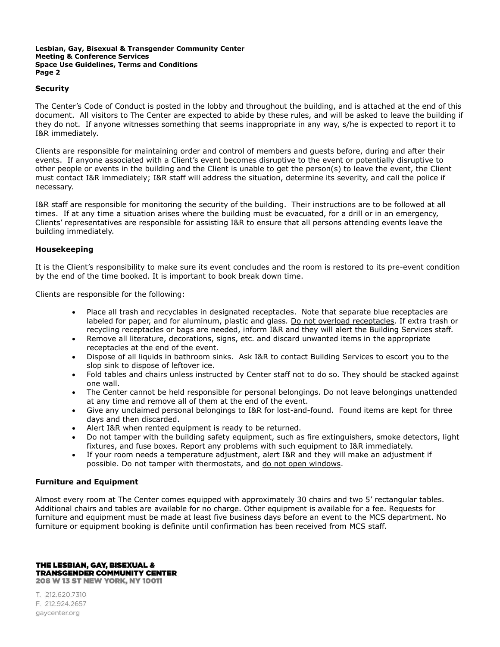# **Security**

The Center's Code of Conduct is posted in the lobby and throughout the building, and is attached at the end of this document. All visitors to The Center are expected to abide by these rules, and will be asked to leave the building if they do not. If anyone witnesses something that seems inappropriate in any way, s/he is expected to report it to I&R immediately.

Clients are responsible for maintaining order and control of members and guests before, during and after their events. If anyone associated with a Client's event becomes disruptive to the event or potentially disruptive to other people or events in the building and the Client is unable to get the person(s) to leave the event, the Client must contact I&R immediately; I&R staff will address the situation, determine its severity, and call the police if necessary.

I&R staff are responsible for monitoring the security of the building. Their instructions are to be followed at all times. If at any time a situation arises where the building must be evacuated, for a drill or in an emergency, Clients' representatives are responsible for assisting I&R to ensure that all persons attending events leave the building immediately.

# **Housekeeping**

It is the Client's responsibility to make sure its event concludes and the room is restored to its pre-event condition by the end of the time booked. It is important to book break down time.

Clients are responsible for the following:

- Place all trash and recyclables in designated receptacles. Note that separate blue receptacles are labeled for paper, and for aluminum, plastic and glass*.* Do not overload receptacles. If extra trash or recycling receptacles or bags are needed, inform I&R and they will alert the Building Services staff.
- Remove all literature, decorations, signs, etc. and discard unwanted items in the appropriate receptacles at the end of the event.
- Dispose of all liquids in bathroom sinks. Ask I&R to contact Building Services to escort you to the slop sink to dispose of leftover ice.
- Fold tables and chairs unless instructed by Center staff not to do so. They should be stacked against one wall.
- The Center cannot be held responsible for personal belongings. Do not leave belongings unattended at any time and remove all of them at the end of the event.
- Give any unclaimed personal belongings to I&R for lost-and-found. Found items are kept for three days and then discarded.
- Alert I&R when rented equipment is ready to be returned.
- Do not tamper with the building safety equipment, such as fire extinguishers, smoke detectors, light fixtures, and fuse boxes. Report any problems with such equipment to I&R immediately.
- If your room needs a temperature adjustment, alert I&R and they will make an adjustment if possible. Do not tamper with thermostats, and do not open windows.

## **Furniture and Equipment**

Almost every room at The Center comes equipped with approximately 30 chairs and two 5' rectangular tables. Additional chairs and tables are available for no charge. Other equipment is available for a fee. Requests for furniture and equipment must be made at least five business days before an event to the MCS department. No furniture or equipment booking is definite until confirmation has been received from MCS staff.

THE LESBIAN, GAY, BISEXUAL & **TRANSGENDER COMMUNITY CENTER 208 W 13 ST NEW YORK, NY 10011**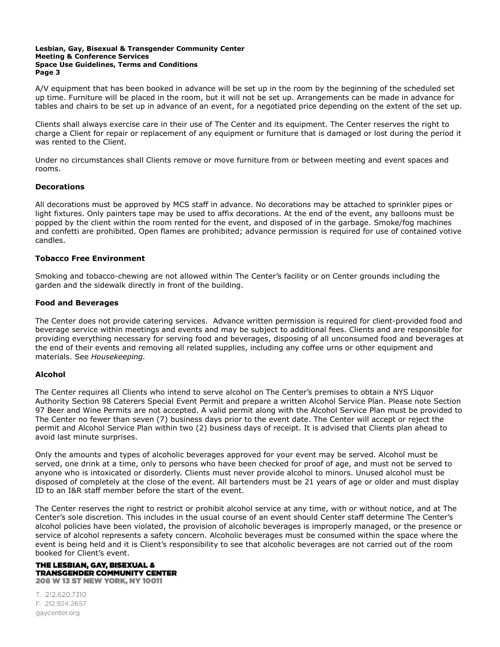A/V equipment that has been booked in advance will be set up in the room by the beginning of the scheduled set up time. Furniture will be placed in the room, but it will not be set up. Arrangements can be made in advance for tables and chairs to be set up in advance of an event, for a negotiated price depending on the extent of the set up.

Clients shall always exercise care in their use of The Center and its equipment. The Center reserves the right to charge a Client for repair or replacement of any equipment or furniture that is damaged or lost during the period it was rented to the Client.

Under no circumstances shall Clients remove or move furniture from or between meeting and event spaces and rooms.

# **Decorations**

All decorations must be approved by MCS staff in advance. No decorations may be attached to sprinkler pipes or light fixtures. Only painters tape may be used to affix decorations. At the end of the event, any balloons must be popped by the client within the room rented for the event, and disposed of in the garbage. Smoke/fog machines and confetti are prohibited. Open flames are prohibited; advance permission is required for use of contained votive candles.

# **Tobacco Free Environment**

Smoking and tobacco-chewing are not allowed within The Center's facility or on Center grounds including the garden and the sidewalk directly in front of the building.

# **Food and Beverages**

The Center does not provide catering services. Advance written permission is required for client-provided food and beverage service within meetings and events and may be subject to additional fees. Clients and are responsible for providing everything necessary for serving food and beverages, disposing of all unconsumed food and beverages at the end of their events and removing all related supplies, including any coffee urns or other equipment and materials. See *Housekeeping.*

## **Alcohol**

The Center requires all Clients who intend to serve alcohol on The Center's premises to obtain a NYS Liquor Authority Section 98 Caterers Special Event Permit and prepare a written Alcohol Service Plan. Please note Section 97 Beer and Wine Permits are not accepted. A valid permit along with the Alcohol Service Plan must be provided to The Center no fewer than seven (7) business days prior to the event date. The Center will accept or reject the permit and Alcohol Service Plan within two (2) business days of receipt. It is advised that Clients plan ahead to avoid last minute surprises.

Only the amounts and types of alcoholic beverages approved for your event may be served. Alcohol must be served, one drink at a time, only to persons who have been checked for proof of age, and must not be served to anyone who is intoxicated or disorderly. Clients must never provide alcohol to minors. Unused alcohol must be disposed of completely at the close of the event. All bartenders must be 21 years of age or older and must display ID to an I&R staff member before the start of the event.

The Center reserves the right to restrict or prohibit alcohol service at any time, with or without notice, and at The Center's sole discretion. This includes in the usual course of an event should Center staff determine The Center's alcohol policies have been violated, the provision of alcoholic beverages is improperly managed, or the presence or service of alcohol represents a safety concern. Alcoholic beverages must be consumed within the space where the event is being held and it is Client's responsibility to see that alcoholic beverages are not carried out of the room booked for Client's event.

#### THE LESBIAN, GAY, BISEXUAL & **TRANSGENDER COMMUNITY CENTER 208 W 13 ST NEW YORK, NY 10011**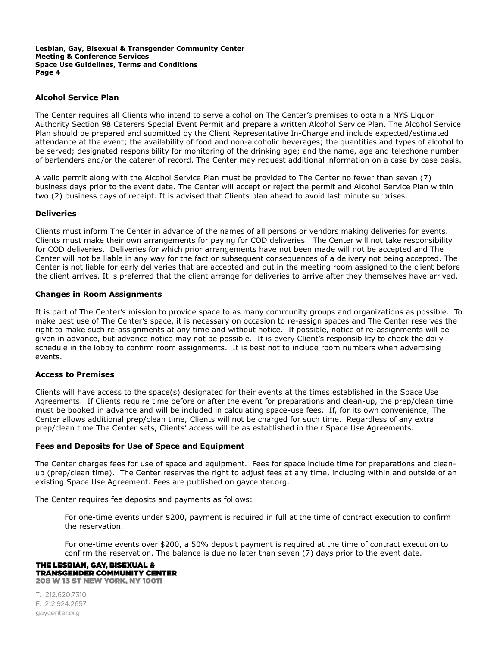# **Alcohol Service Plan**

The Center requires all Clients who intend to serve alcohol on The Center's premises to obtain a NYS Liquor Authority Section 98 Caterers Special Event Permit and prepare a written Alcohol Service Plan. The Alcohol Service Plan should be prepared and submitted by the Client Representative In-Charge and include expected/estimated attendance at the event; the availability of food and non-alcoholic beverages; the quantities and types of alcohol to be served; designated responsibility for monitoring of the drinking age; and the name, age and telephone number of bartenders and/or the caterer of record. The Center may request additional information on a case by case basis.

A valid permit along with the Alcohol Service Plan must be provided to The Center no fewer than seven (7) business days prior to the event date. The Center will accept or reject the permit and Alcohol Service Plan within two (2) business days of receipt. It is advised that Clients plan ahead to avoid last minute surprises.

## **Deliveries**

Clients must inform The Center in advance of the names of all persons or vendors making deliveries for events. Clients must make their own arrangements for paying for COD deliveries. The Center will not take responsibility for COD deliveries. Deliveries for which prior arrangements have not been made will not be accepted and The Center will not be liable in any way for the fact or subsequent consequences of a delivery not being accepted. The Center is not liable for early deliveries that are accepted and put in the meeting room assigned to the client before the client arrives. It is preferred that the client arrange for deliveries to arrive after they themselves have arrived.

## **Changes in Room Assignments**

It is part of The Center's mission to provide space to as many community groups and organizations as possible. To make best use of The Center's space, it is necessary on occasion to re-assign spaces and The Center reserves the right to make such re-assignments at any time and without notice. If possible, notice of re-assignments will be given in advance, but advance notice may not be possible. It is every Client's responsibility to check the daily schedule in the lobby to confirm room assignments. It is best not to include room numbers when advertising events.

## **Access to Premises**

Clients will have access to the space(s) designated for their events at the times established in the Space Use Agreements. If Clients require time before or after the event for preparations and clean-up, the prep/clean time must be booked in advance and will be included in calculating space-use fees. If, for its own convenience, The Center allows additional prep/clean time, Clients will not be charged for such time. Regardless of any extra prep/clean time The Center sets, Clients' access will be as established in their Space Use Agreements.

## **Fees and Deposits for Use of Space and Equipment**

The Center charges fees for use of space and equipment. Fees for space include time for preparations and cleanup (prep/clean time). The Center reserves the right to adjust fees at any time, including within and outside of an existing Space Use Agreement. Fees are published on gaycenter.org.

The Center requires fee deposits and payments as follows:

For one-time events under \$200, payment is required in full at the time of contract execution to confirm the reservation.

For one-time events over \$200, a 50% deposit payment is required at the time of contract execution to confirm the reservation. The balance is due no later than seven (7) days prior to the event date.

## THE LESBIAN, GAY, BISEXUAL & **TRANSGENDER COMMUNITY CENTER 208 W 13 ST NEW YORK, NY 10011**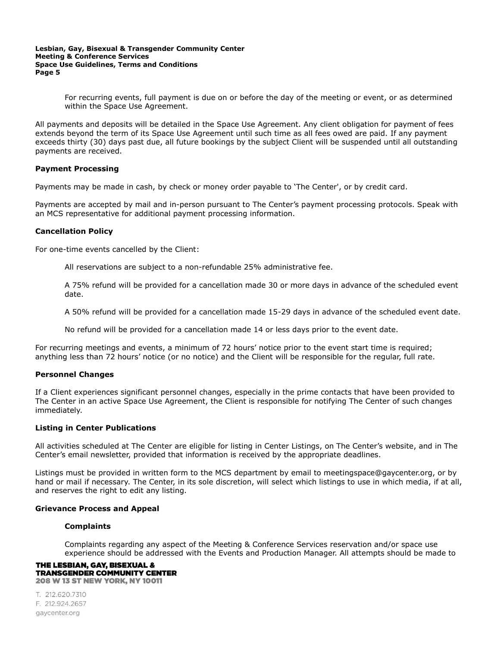For recurring events, full payment is due on or before the day of the meeting or event, or as determined within the Space Use Agreement.

All payments and deposits will be detailed in the Space Use Agreement. Any client obligation for payment of fees extends beyond the term of its Space Use Agreement until such time as all fees owed are paid. If any payment exceeds thirty (30) days past due, all future bookings by the subject Client will be suspended until all outstanding payments are received.

# **Payment Processing**

Payments may be made in cash, by check or money order payable to 'The Center', or by credit card.

Payments are accepted by mail and in-person pursuant to The Center's payment processing protocols. Speak with an MCS representative for additional payment processing information.

# **Cancellation Policy**

For one-time events cancelled by the Client:

All reservations are subject to a non-refundable 25% administrative fee.

A 75% refund will be provided for a cancellation made 30 or more days in advance of the scheduled event date.

A 50% refund will be provided for a cancellation made 15-29 days in advance of the scheduled event date.

No refund will be provided for a cancellation made 14 or less days prior to the event date.

For recurring meetings and events, a minimum of 72 hours' notice prior to the event start time is required; anything less than 72 hours' notice (or no notice) and the Client will be responsible for the regular, full rate.

## **Personnel Changes**

If a Client experiences significant personnel changes, especially in the prime contacts that have been provided to The Center in an active Space Use Agreement, the Client is responsible for notifying The Center of such changes immediately.

## **Listing in Center Publications**

All activities scheduled at The Center are eligible for listing in Center Listings, on The Center's website, and in The Center's email newsletter, provided that information is received by the appropriate deadlines.

Listings must be provided in written form to the MCS department by email to meetingspace@gaycenter.org, or by hand or mail if necessary. The Center, in its sole discretion, will select which listings to use in which media, if at all, and reserves the right to edit any listing.

## **Grievance Process and Appeal**

## **Complaints**

Complaints regarding any aspect of the Meeting & Conference Services reservation and/or space use experience should be addressed with the Events and Production Manager. All attempts should be made to

#### THE LESBIAN, GAY, BISEXUAL & **TRANSGENDER COMMUNITY CENTER 208 W 13 ST NEW YORK, NY 10011**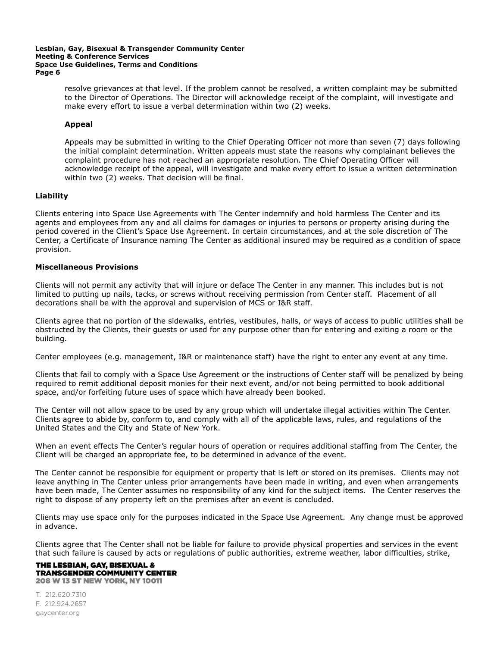resolve grievances at that level. If the problem cannot be resolved, a written complaint may be submitted to the Director of Operations. The Director will acknowledge receipt of the complaint, will investigate and make every effort to issue a verbal determination within two (2) weeks.

# **Appeal**

Appeals may be submitted in writing to the Chief Operating Officer not more than seven (7) days following the initial complaint determination. Written appeals must state the reasons why complainant believes the complaint procedure has not reached an appropriate resolution. The Chief Operating Officer will acknowledge receipt of the appeal, will investigate and make every effort to issue a written determination within two (2) weeks. That decision will be final.

# **Liability**

Clients entering into Space Use Agreements with The Center indemnify and hold harmless The Center and its agents and employees from any and all claims for damages or injuries to persons or property arising during the period covered in the Client's Space Use Agreement. In certain circumstances, and at the sole discretion of The Center, a Certificate of Insurance naming The Center as additional insured may be required as a condition of space provision.

## **Miscellaneous Provisions**

Clients will not permit any activity that will injure or deface The Center in any manner. This includes but is not limited to putting up nails, tacks, or screws without receiving permission from Center staff. Placement of all decorations shall be with the approval and supervision of MCS or I&R staff.

Clients agree that no portion of the sidewalks, entries, vestibules, halls, or ways of access to public utilities shall be obstructed by the Clients, their guests or used for any purpose other than for entering and exiting a room or the building.

Center employees (e.g. management, I&R or maintenance staff) have the right to enter any event at any time.

Clients that fail to comply with a Space Use Agreement or the instructions of Center staff will be penalized by being required to remit additional deposit monies for their next event, and/or not being permitted to book additional space, and/or forfeiting future uses of space which have already been booked.

The Center will not allow space to be used by any group which will undertake illegal activities within The Center. Clients agree to abide by, conform to, and comply with all of the applicable laws, rules, and regulations of the United States and the City and State of New York.

When an event effects The Center's regular hours of operation or requires additional staffing from The Center, the Client will be charged an appropriate fee, to be determined in advance of the event.

The Center cannot be responsible for equipment or property that is left or stored on its premises. Clients may not leave anything in The Center unless prior arrangements have been made in writing, and even when arrangements have been made, The Center assumes no responsibility of any kind for the subject items. The Center reserves the right to dispose of any property left on the premises after an event is concluded.

Clients may use space only for the purposes indicated in the Space Use Agreement. Any change must be approved in advance.

Clients agree that The Center shall not be liable for failure to provide physical properties and services in the event that such failure is caused by acts or regulations of public authorities, extreme weather, labor difficulties, strike,

#### THE LESBIAN, GAY, BISEXUAL & **TRANSGENDER COMMUNITY CENTER 208 W 13 ST NEW YORK, NY 10011**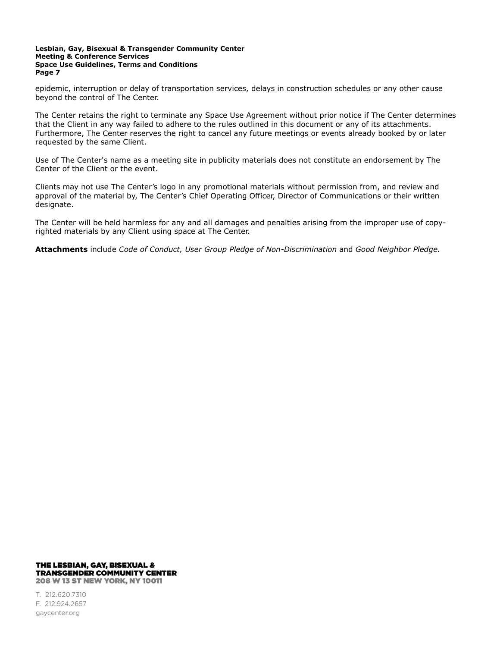epidemic, interruption or delay of transportation services, delays in construction schedules or any other cause beyond the control of The Center.

The Center retains the right to terminate any Space Use Agreement without prior notice if The Center determines that the Client in any way failed to adhere to the rules outlined in this document or any of its attachments. Furthermore, The Center reserves the right to cancel any future meetings or events already booked by or later requested by the same Client.

Use of The Center's name as a meeting site in publicity materials does not constitute an endorsement by The Center of the Client or the event.

Clients may not use The Center's logo in any promotional materials without permission from, and review and approval of the material by, The Center's Chief Operating Officer, Director of Communications or their written designate.

The Center will be held harmless for any and all damages and penalties arising from the improper use of copyrighted materials by any Client using space at The Center.

**Attachments** include *Code of Conduct, User Group Pledge of Non-Discrimination* and *Good Neighbor Pledge.*

#### THE LESBIAN, GAY, BISEXUAL & **TRANSGENDER COMMUNITY CENTER 208 W 13 ST NEW YORK, NY 10011**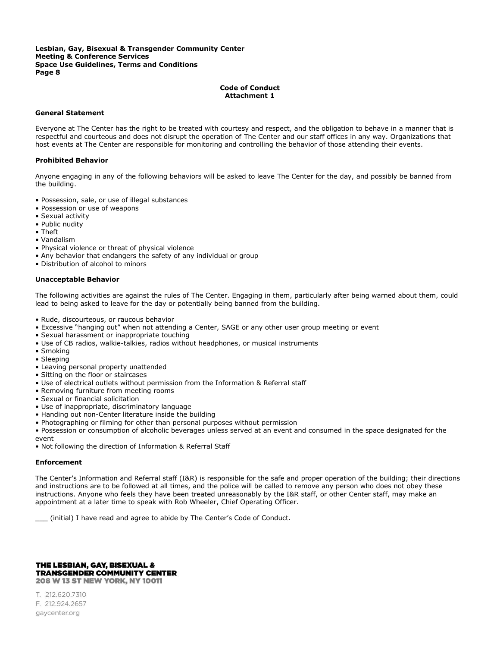## **Code of Conduct Attachment 1**

## **General Statement**

Everyone at The Center has the right to be treated with courtesy and respect, and the obligation to behave in a manner that is respectful and courteous and does not disrupt the operation of The Center and our staff offices in any way. Organizations that host events at The Center are responsible for monitoring and controlling the behavior of those attending their events.

#### **Prohibited Behavior**

Anyone engaging in any of the following behaviors will be asked to leave The Center for the day, and possibly be banned from the building.

- Possession, sale, or use of illegal substances
- Possession or use of weapons
- Sexual activity
- Public nudity
- Theft
- Vandalism
- Physical violence or threat of physical violence
- Any behavior that endangers the safety of any individual or group
- Distribution of alcohol to minors

#### **Unacceptable Behavior**

The following activities are against the rules of The Center. Engaging in them, particularly after being warned about them, could lead to being asked to leave for the day or potentially being banned from the building.

- Rude, discourteous, or raucous behavior
- Excessive "hanging out" when not attending a Center, SAGE or any other user group meeting or event
- Sexual harassment or inappropriate touching
- Use of CB radios, walkie-talkies, radios without headphones, or musical instruments
- Smoking
- Sleeping
- Leaving personal property unattended
- Sitting on the floor or staircases
- Use of electrical outlets without permission from the Information & Referral staff
- Removing furniture from meeting rooms
- Sexual or financial solicitation
- Use of inappropriate, discriminatory language
- Handing out non-Center literature inside the building
- Photographing or filming for other than personal purposes without permission

• Possession or consumption of alcoholic beverages unless served at an event and consumed in the space designated for the event

• Not following the direction of Information & Referral Staff

## **Enforcement**

The Center's Information and Referral staff (I&R) is responsible for the safe and proper operation of the building; their directions and instructions are to be followed at all times, and the police will be called to remove any person who does not obey these instructions. Anyone who feels they have been treated unreasonably by the I&R staff, or other Center staff, may make an appointment at a later time to speak with Rob Wheeler, Chief Operating Officer.

(initial) I have read and agree to abide by The Center's Code of Conduct.

## THE LESBIAN, GAY, BISEXUAL & **TRANSGENDER COMMUNITY CENTER** 208 W 13 ST NEW YORK, NY 10011